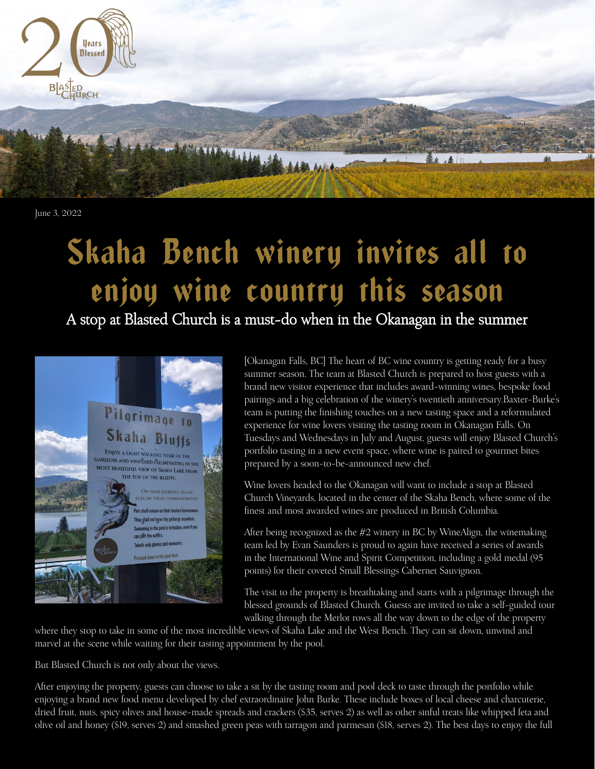

June 3, 2022

## Skaha Bench winery invites all to enjoy wine country this season

A stop at Blasted Church is a must-do when in the Okanagan in the summer



[Okanagan Falls, BC] The heart of BC wine country is getting ready for a busy summer season. The team at Blasted Church is prepared to host guests with a brand new visitor experience that includes award-winning wines, bespoke food pairings and a big celebration of the winery's twentieth anniversary.Baxter-Burke's team is putting the finishing touches on a new tasting space and a reformulated experience for wine lovers visiting the tasting room in Okanagan Falls. On Tuesdays and Wednesdays in July and August, guests will enjoy Blasted Church's portfolio tasting in a new event space, where wine is paired to gourmet bites prepared by a soon-to-be-announced new chef.

Wine lovers headed to the Okanagan will want to include a stop at Blasted Church Vineyards, located in the center of the Skaha Bench, where some of the finest and most awarded wines are produced in British Columbia.

After being recognized as the #2 winery in BC by WineAlign, the winemaking team led by Evan Saunders is proud to again have received a series of awards in the International Wine and Spirit Competition, including a gold medal (95 points) for their coveted Small Blessings Cabernet Sauvignon.

The visit to the property is breathtaking and starts with a pilgrimage through the blessed grounds of Blasted Church. Guests are invited to take a self-guided tour walking through the Merlot rows all the way down to the edge of the property

where they stop to take in some of the most incredible views of Skaha Lake and the West Bench. They can sit down, unwind and marvel at the scene while waiting for their tasting appointment by the pool.

But Blasted Church is not only about the views.

After enjoying the property, guests can choose to take a sit by the tasting room and pool deck to taste through the portfolio while enjoying a brand new food menu developed by chef extraordinaire John Burke. These include boxes of local cheese and charcuterie, dried fruit, nuts, spicy olives and house-made spreads and crackers (\$35, serves 2) as well as other sinful treats like whipped feta and olive oil and honey (\$19, serves 2) and smashed green peas with tarragon and parmesan (\$18, serves 2). The best days to enjoy the full